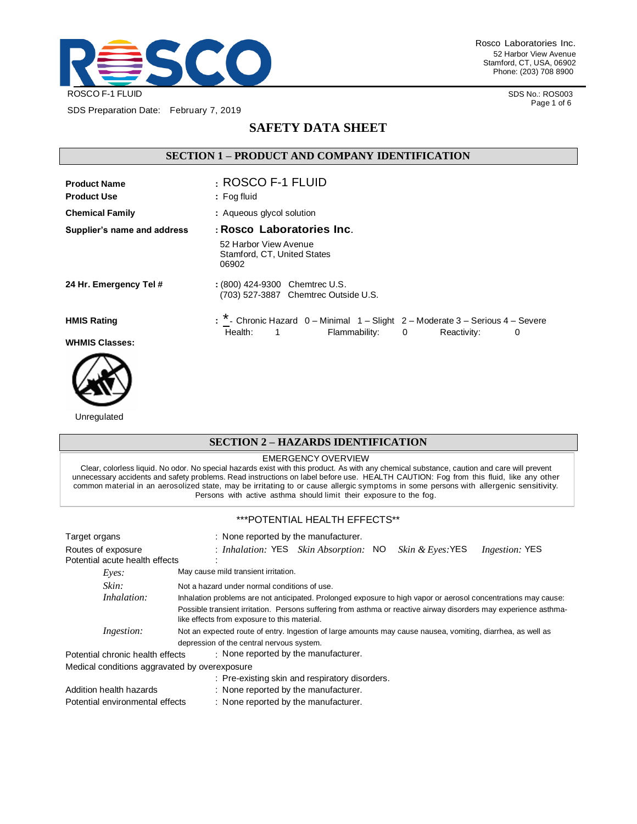

SDS Preparation Date: February 7, 2019

Rosco Laboratories Inc. 52 Harbor View Avenue Stamford, CT, USA, 06902 Phone: (203) 708 8900

> SDS No.: ROS003 Page 1 of 6

# **SAFETY DATA SHEET**

# **SECTION 1 – PRODUCT AND COMPANY IDENTIFICATION**

| <b>Product Name</b><br><b>Product Use</b> | : ROSCO F-1 FLUID<br>: Fog fluid                                                                                                                 |
|-------------------------------------------|--------------------------------------------------------------------------------------------------------------------------------------------------|
| <b>Chemical Family</b>                    | : Aqueous glycol solution                                                                                                                        |
| Supplier's name and address               | : Rosco Laboratories Inc.                                                                                                                        |
|                                           | 52 Harbor View Avenue<br>Stamford, CT, United States<br>06902                                                                                    |
| 24 Hr. Emergency Tel #                    | : (800) 424-9300 Chemtrec U.S.<br>(703) 527-3887 Chemtrec Outside U.S.                                                                           |
| <b>HMIS Rating</b>                        | : * - Chronic Hazard 0 - Minimal 1 - Slight 2 - Moderate 3 - Serious 4 - Severe<br>Health:<br>Flammability: 0<br>Reactivity:<br>$\mathbf 1$<br>0 |
| <b>WHMIS Classes:</b>                     |                                                                                                                                                  |



Unregulated

## **SECTION 2 – HAZARDS IDENTIFICATION**

#### EMERGENCY OVERVIEW

Clear, colorless liquid. No odor. No special hazards exist with this product. As with any chemical substance, caution and care will prevent<br>unnecessary accidents and safety problems. Read instructions on label before use. common material in an aerosolized state, may be irritating to or cause allergic symptoms in some persons with allergenic sensitivity. Persons with active asthma should limit their exposure to the fog.

#### \*\*\*POTENTIAL HEALTH EFFECTS\*\*

| Target organs                                        | : None reported by the manufacturer.                                                                                                                                                                                                                                                                                               |
|------------------------------------------------------|------------------------------------------------------------------------------------------------------------------------------------------------------------------------------------------------------------------------------------------------------------------------------------------------------------------------------------|
| Routes of exposure<br>Potential acute health effects | Skin & Eyes: YES<br>: Inhalation: YES Skin Absorption: NO<br><i>Ingestion:</i> YES                                                                                                                                                                                                                                                 |
| Eyes:                                                | May cause mild transient irritation.                                                                                                                                                                                                                                                                                               |
| Skin:<br><i>Inhalation:</i>                          | Not a hazard under normal conditions of use.<br>Inhalation problems are not anticipated. Prolonged exposure to high vapor or aerosol concentrations may cause:<br>Possible transient irritation. Persons suffering from asthma or reactive airway disorders may experience asthma-<br>like effects from exposure to this material. |
| <i>Ingestion:</i>                                    | Not an expected route of entry. Ingestion of large amounts may cause nausea, vomiting, diarrhea, as well as<br>depression of the central nervous system.                                                                                                                                                                           |
| Potential chronic health effects                     | $\cdot$ None reported by the manufacturer.                                                                                                                                                                                                                                                                                         |
| Medical conditions aggravated by overexposure        |                                                                                                                                                                                                                                                                                                                                    |
|                                                      | : Pre-existing skin and respiratory disorders.                                                                                                                                                                                                                                                                                     |
| Addition health hazards                              | : None reported by the manufacturer.                                                                                                                                                                                                                                                                                               |
| Potential environmental effects                      | : None reported by the manufacturer.                                                                                                                                                                                                                                                                                               |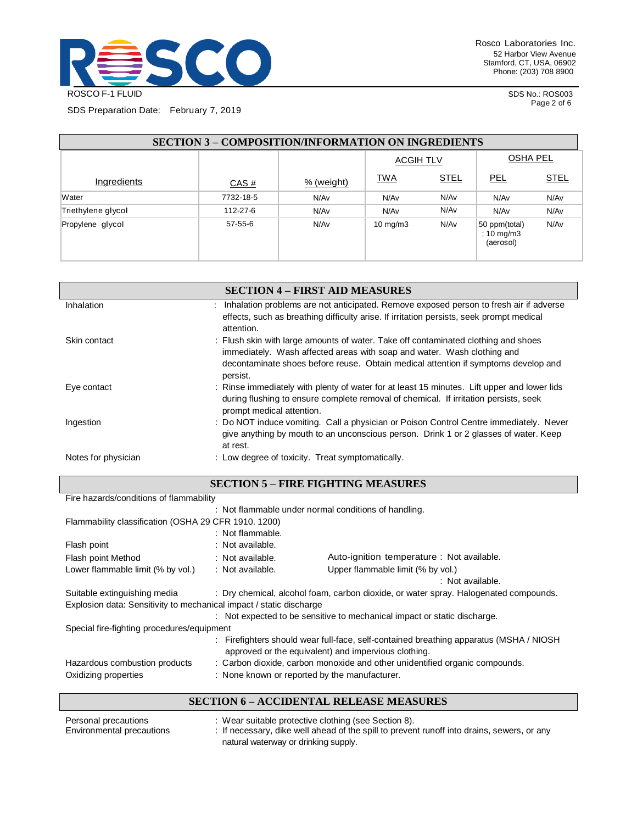

SDS No.: ROS003 Page 2 of 6

SDS Preparation Date: February 7, 2019

| <b>SECTION 3 – COMPOSITION/INFORMATION ON INGREDIENTS</b> |               |            |                   |             |                                          |             |
|-----------------------------------------------------------|---------------|------------|-------------------|-------------|------------------------------------------|-------------|
|                                                           |               |            | <b>ACGIH TLV</b>  |             | <b>OSHA PEL</b>                          |             |
| Ingredients                                               | CAS#          | % (weight) | <b>TWA</b>        | <b>STEL</b> | <u>PEL</u>                               | <b>STEL</b> |
| Water                                                     | 7732-18-5     | N/Av       | N/Av              | N/Av        | N/Av                                     | N/Av        |
| Triethylene glycol                                        | 112-27-6      | N/Av       | N/Av              | N/Av        | N/Av                                     | N/Av        |
| Propylene glycol                                          | $57 - 55 - 6$ | N/Av       | $10 \text{ mg/m}$ | N/Av        | 50 ppm(total)<br>; 10 mg/m3<br>(aerosol) | N/Av        |

|                     | <b>SECTION 4 – FIRST AID MEASURES</b>                                                                                                                                                                            |
|---------------------|------------------------------------------------------------------------------------------------------------------------------------------------------------------------------------------------------------------|
| Inhalation          | Inhalation problems are not anticipated. Remove exposed person to fresh air if adverse                                                                                                                           |
|                     | effects, such as breathing difficulty arise. If irritation persists, seek prompt medical<br>attention.                                                                                                           |
| Skin contact        | : Flush skin with large amounts of water. Take off contaminated clothing and shoes                                                                                                                               |
|                     | immediately. Wash affected areas with soap and water. Wash clothing and                                                                                                                                          |
|                     | decontaminate shoes before reuse. Obtain medical attention if symptoms develop and<br>persist.                                                                                                                   |
| Eye contact         | : Rinse immediately with plenty of water for at least 15 minutes. Lift upper and lower lids<br>during flushing to ensure complete removal of chemical. If irritation persists, seek<br>prompt medical attention. |
| Ingestion           | : Do NOT induce vomiting. Call a physician or Poison Control Centre immediately. Never<br>give anything by mouth to an unconscious person. Drink 1 or 2 glasses of water. Keep<br>at rest.                       |
| Notes for physician | : Low degree of toxicity. Treat symptomatically.                                                                                                                                                                 |

| Fire hazards/conditions of flammability                               |                                                                                                                                                |                                                                                      |  |  |
|-----------------------------------------------------------------------|------------------------------------------------------------------------------------------------------------------------------------------------|--------------------------------------------------------------------------------------|--|--|
|                                                                       | : Not flammable under normal conditions of handling.                                                                                           |                                                                                      |  |  |
| Flammability classification (OSHA 29 CFR 1910, 1200)                  |                                                                                                                                                |                                                                                      |  |  |
|                                                                       | : Not flammable.                                                                                                                               |                                                                                      |  |  |
| Flash point                                                           | : Not available.                                                                                                                               |                                                                                      |  |  |
| Flash point Method                                                    | : Not available.                                                                                                                               | Auto-ignition temperature : Not available.                                           |  |  |
| Lower flammable limit (% by vol.)                                     | : Not available.                                                                                                                               | Upper flammable limit (% by vol.)                                                    |  |  |
|                                                                       |                                                                                                                                                | : Not available.                                                                     |  |  |
| Suitable extinguishing media                                          |                                                                                                                                                | : Dry chemical, alcohol foam, carbon dioxide, or water spray. Halogenated compounds. |  |  |
| Explosion data: Sensitivity to mechanical impact / static discharge   |                                                                                                                                                |                                                                                      |  |  |
|                                                                       | : Not expected to be sensitive to mechanical impact or static discharge.                                                                       |                                                                                      |  |  |
| Special fire-fighting procedures/equipment                            |                                                                                                                                                |                                                                                      |  |  |
|                                                                       | : Firefighters should wear full-face, self-contained breathing apparatus (MSHA / NIOSH<br>approved or the equivalent) and impervious clothing. |                                                                                      |  |  |
| Hazardous combustion products                                         |                                                                                                                                                | : Carbon dioxide, carbon monoxide and other unidentified organic compounds.          |  |  |
| Oxidizing properties<br>: None known or reported by the manufacturer. |                                                                                                                                                |                                                                                      |  |  |

### **SECTION 6 – ACCIDENTAL RELEASE MEASURES**

| Personal precautions<br>Environmental precautions | : Wear suitable protective clothing (see Section 8).<br>: If necessary, dike well ahead of the spill to prevent runoff into drains, sewers, or any |
|---------------------------------------------------|----------------------------------------------------------------------------------------------------------------------------------------------------|
|                                                   | natural waterway or drinking supply.                                                                                                               |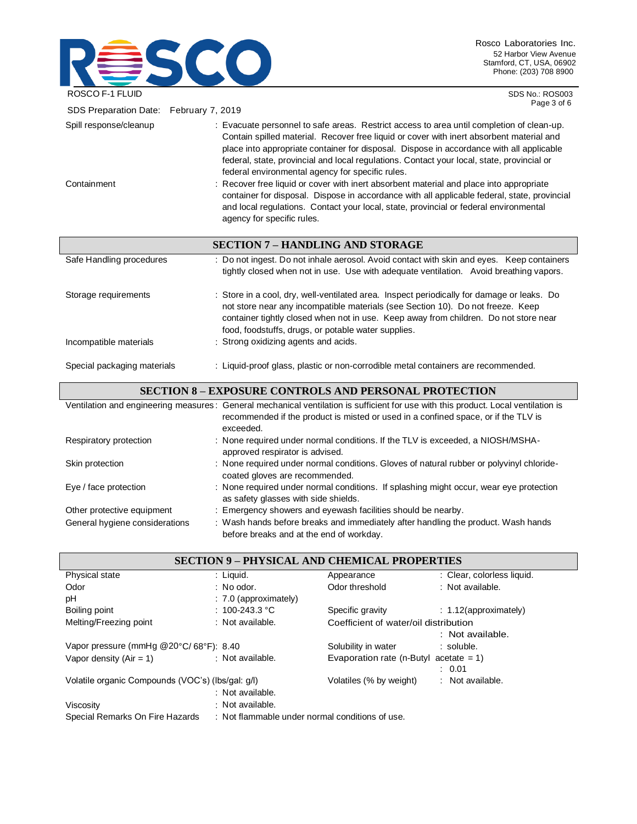

SDS No.: ROS003 Page 3 of 6

| SDS Preparation Date: February 7, 2019 | r ay <del>c</del> o or o                                                                                                                                                                                                                                                                                                                                                                                                                                                                                                                                                                                                                                                                                                                              |  |  |  |
|----------------------------------------|-------------------------------------------------------------------------------------------------------------------------------------------------------------------------------------------------------------------------------------------------------------------------------------------------------------------------------------------------------------------------------------------------------------------------------------------------------------------------------------------------------------------------------------------------------------------------------------------------------------------------------------------------------------------------------------------------------------------------------------------------------|--|--|--|
| Spill response/cleanup<br>Containment  | : Evacuate personnel to safe areas. Restrict access to area until completion of clean-up.<br>Contain spilled material. Recover free liquid or cover with inert absorbent material and<br>place into appropriate container for disposal. Dispose in accordance with all applicable<br>federal, state, provincial and local regulations. Contact your local, state, provincial or<br>federal environmental agency for specific rules.<br>: Recover free liquid or cover with inert absorbent material and place into appropriate<br>container for disposal. Dispose in accordance with all applicable federal, state, provincial<br>and local regulations. Contact your local, state, provincial or federal environmental<br>agency for specific rules. |  |  |  |
|                                        | <b>SECTION 7 - HANDLING AND STORAGE</b>                                                                                                                                                                                                                                                                                                                                                                                                                                                                                                                                                                                                                                                                                                               |  |  |  |
| Safe Handling procedures               | : Do not ingest. Do not inhale aerosol. Avoid contact with skin and eyes. Keep containers<br>tightly closed when not in use. Use with adequate ventilation. Avoid breathing vapors.                                                                                                                                                                                                                                                                                                                                                                                                                                                                                                                                                                   |  |  |  |
| Storage requirements                   | : Store in a cool, dry, well-ventilated area. Inspect periodically for damage or leaks. Do<br>not store near any incompatible materials (see Section 10). Do not freeze. Keep<br>container tightly closed when not in use. Keep away from children. Do not store near<br>food, foodstuffs, drugs, or potable water supplies.                                                                                                                                                                                                                                                                                                                                                                                                                          |  |  |  |
| Incompatible materials                 | : Strong oxidizing agents and acids.                                                                                                                                                                                                                                                                                                                                                                                                                                                                                                                                                                                                                                                                                                                  |  |  |  |
| Special packaging materials            | : Liquid-proof glass, plastic or non-corrodible metal containers are recommended.                                                                                                                                                                                                                                                                                                                                                                                                                                                                                                                                                                                                                                                                     |  |  |  |
|                                        | <b>SECTION 8 - EXPOSURE CONTROLS AND PERSONAL PROTECTION</b>                                                                                                                                                                                                                                                                                                                                                                                                                                                                                                                                                                                                                                                                                          |  |  |  |

|                                                              | Ventilation and engineering measures: General mechanical ventilation is sufficient for use with this product. Local ventilation is<br>recommended if the product is misted or used in a confined space, or if the TLV is<br>exceeded. |
|--------------------------------------------------------------|---------------------------------------------------------------------------------------------------------------------------------------------------------------------------------------------------------------------------------------|
| Respiratory protection                                       | : None required under normal conditions. If the TLV is exceeded, a NIOSH/MSHA-<br>approved respirator is advised.                                                                                                                     |
| Skin protection                                              | : None required under normal conditions. Gloves of natural rubber or polyvinyl chloride-<br>coated gloves are recommended.                                                                                                            |
| Eye / face protection                                        | : None required under normal conditions. If splashing might occur, wear eye protection<br>as safety glasses with side shields.                                                                                                        |
| Other protective equipment<br>General hygiene considerations | : Emergency showers and eyewash facilities should be nearby.<br>: Wash hands before breaks and immediately after handling the product. Wash hands                                                                                     |
|                                                              |                                                                                                                                                                                                                                       |

before breaks and at the end of workday.

| <b>SECTION 9 - PHYSICAL AND CHEMICAL PROPERTIES</b> |                                                 |                                           |                            |
|-----------------------------------------------------|-------------------------------------------------|-------------------------------------------|----------------------------|
| Physical state                                      | : Liquid.                                       | Appearance                                | : Clear, colorless liquid. |
| Odor                                                | $:$ No odor.                                    | Odor threshold                            | : Not available.           |
| рH                                                  | $: 7.0$ (approximately)                         |                                           |                            |
| Boiling point                                       | : 100-243.3 °C                                  | Specific gravity                          | $: 1.12$ (approximately)   |
| Melting/Freezing point                              | : Not available.                                | Coefficient of water/oil distribution     |                            |
|                                                     |                                                 |                                           | : Not available.           |
| Vapor pressure (mmHg @20°C/68°F): 8.40              |                                                 | Solubility in water                       | $\therefore$ soluble.      |
| Vapor density $(Air = 1)$                           | : Not available.                                | Evaporation rate (n-Butyl acetate $= 1$ ) |                            |
|                                                     |                                                 |                                           | : 0.01                     |
| Volatile organic Compounds (VOC's) (lbs/gal: g/l)   |                                                 | Volatiles (% by weight)                   | : Not available.           |
|                                                     | : Not available.                                |                                           |                            |
| Viscosity                                           | : Not available.                                |                                           |                            |
| Special Remarks On Fire Hazards                     | : Not flammable under normal conditions of use. |                                           |                            |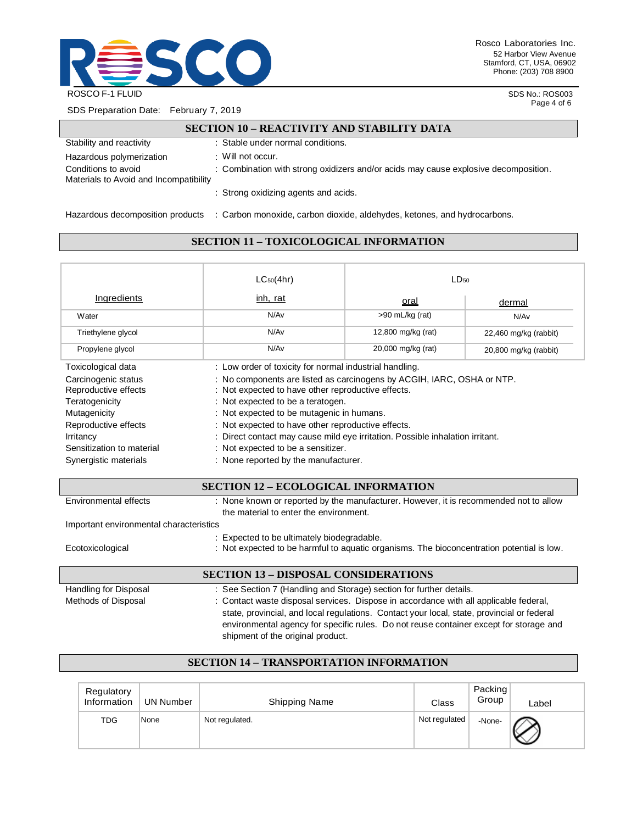

SDS No.: ROS003 Page 4 of 6

SDS Preparation Date: February 7, 2019

#### **SECTION 10 – REACTIVITY AND STABILITY DATA**

| Stability and reactivity                                      | : Stable under normal conditions.                                                   |
|---------------------------------------------------------------|-------------------------------------------------------------------------------------|
| Hazardous polymerization                                      | $\therefore$ Will not occur.                                                        |
| Conditions to avoid<br>Materials to Avoid and Incompatibility | : Combination with strong oxidizers and/or acids may cause explosive decomposition. |
|                                                               | : Strong oxidizing agents and acids.                                                |
| Hazardous decomposition products                              | : Carbon monoxide, carbon dioxide, aldehydes, ketones, and hydrocarbons.            |

### **SECTION 11 – TOXICOLOGICAL INFORMATION**

| $LC_{50}(4hr)$                                                                                                                                                                                                                                                                                                                                                                              | LD <sub>50</sub>   |                                      |
|---------------------------------------------------------------------------------------------------------------------------------------------------------------------------------------------------------------------------------------------------------------------------------------------------------------------------------------------------------------------------------------------|--------------------|--------------------------------------|
| inh, rat                                                                                                                                                                                                                                                                                                                                                                                    | oral<br>dermal     |                                      |
| N/Av                                                                                                                                                                                                                                                                                                                                                                                        | >90 mL/kg (rat)    | N/Av                                 |
| N/Av                                                                                                                                                                                                                                                                                                                                                                                        | 12,800 mg/kg (rat) | 22,460 mg/kg (rabbit)                |
| N/Av                                                                                                                                                                                                                                                                                                                                                                                        | 20,000 mg/kg (rat) | 20,800 mg/kg (rabbit)                |
| : Low order of toxicity for normal industrial handling.                                                                                                                                                                                                                                                                                                                                     |                    |                                      |
| : No components are listed as carcinogens by ACGIH, IARC, OSHA or NTP.<br>: Not expected to have other reproductive effects.<br>: Not expected to be a teratogen.<br>: Not expected to be mutagenic in humans.<br>: Not expected to have other reproductive effects.<br>: Direct contact may cause mild eye irritation. Possible inhalation irritant.<br>: Not expected to be a sensitizer. |                    |                                      |
|                                                                                                                                                                                                                                                                                                                                                                                             |                    | : None reported by the manufacturer. |

### **SECTION 12 – ECOLOGICAL INFORMATION**

| Environmental effects                       | : None known or reported by the manufacturer. However, it is recommended not to allow<br>the material to enter the environment.         |  |  |  |
|---------------------------------------------|-----------------------------------------------------------------------------------------------------------------------------------------|--|--|--|
| Important environmental characteristics     |                                                                                                                                         |  |  |  |
|                                             |                                                                                                                                         |  |  |  |
| Ecotoxicological                            | : Expected to be ultimately biodegradable.<br>: Not expected to be harmful to aquatic organisms. The bioconcentration potential is low. |  |  |  |
| <b>SECTION 13 - DISPOSAL CONSIDERATIONS</b> |                                                                                                                                         |  |  |  |

Handling for Disposal : See Section 7 (Handling and Storage) section for further details. Methods of Disposal : Contact waste disposal services. Dispose in accordance with all applicable federal, state, provincial, and local regulations. Contact your local, state, provincial or federal environmental agency for specific rules. Do not reuse container except for storage and shipment of the original product.

### **SECTION 14 – TRANSPORTATION INFORMATION**

| Regulatory<br>Information | <b>UN Number</b> | <b>Shipping Name</b> | Class         | Packing<br>Group | Label |
|---------------------------|------------------|----------------------|---------------|------------------|-------|
| <b>TDG</b>                | None             | Not regulated.       | Not regulated | -None-           |       |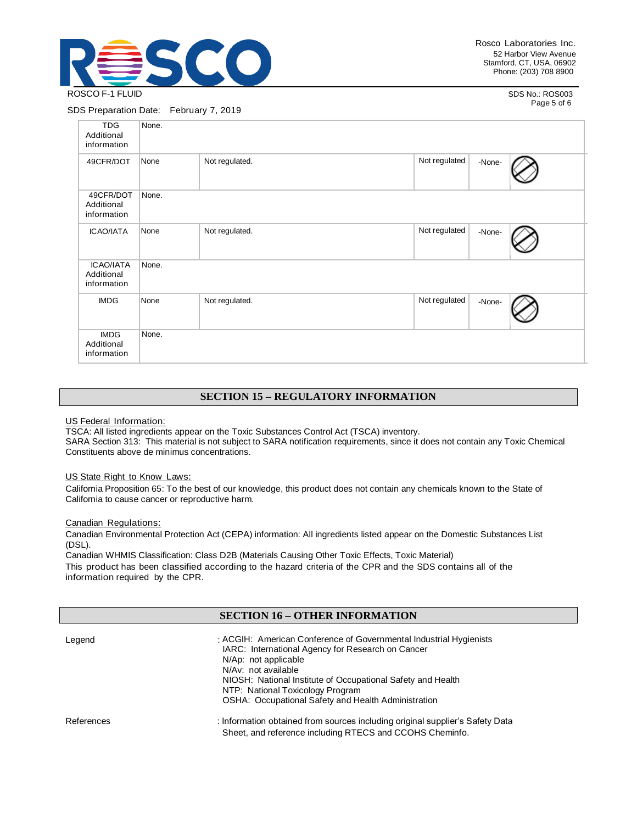

SDS No.: ROS003 Page 5 of 6

#### SDS Preparation Date: February 7, 2019

| <b>TDG</b><br>Additional<br>information       | None. |                |               |        |  |
|-----------------------------------------------|-------|----------------|---------------|--------|--|
| 49CFR/DOT                                     | None  | Not regulated. | Not regulated | -None- |  |
| 49CFR/DOT<br>Additional<br>information        | None. |                |               |        |  |
| <b>ICAO/IATA</b>                              | None  | Not regulated. | Not regulated | -None- |  |
| <b>ICAO/IATA</b><br>Additional<br>information | None. |                |               |        |  |
| <b>IMDG</b>                                   | None  | Not regulated. | Not regulated | -None- |  |
| <b>IMDG</b><br>Additional<br>information      | None. |                |               |        |  |

# **SECTION 15 – REGULATORY INFORMATION**

US Federal Information:

TSCA: All listed ingredients appear on the Toxic Substances Control Act (TSCA) inventory.

SARA Section 313: This material is not subject to SARA notification requirements, since it does not contain any Toxic Chemical Constituents above de minimus concentrations.

#### US State Right to Know Laws:

California Proposition 65: To the best of our knowledge, this product does not contain any chemicals known to the State of California to cause cancer or reproductive harm.

#### Canadian Regulations:

Canadian Environmental Protection Act (CEPA) information: All ingredients listed appear on the Domestic Substances List (DSL).

Canadian WHMIS Classification: Class D2B (Materials Causing Other Toxic Effects, Toxic Material) This product has been classified according to the hazard criteria of the CPR and the SDS contains all of the information required by the CPR.

# **SECTION 16 – OTHER INFORMATION**

| Legend     | : ACGIH: American Conference of Governmental Industrial Hygienists<br>IARC: International Agency for Research on Cancer<br>N/Ap: not applicable<br>N/Av: not available<br>NIOSH: National Institute of Occupational Safety and Health<br>NTP: National Toxicology Program<br><b>OSHA: Occupational Safety and Health Administration</b> |
|------------|-----------------------------------------------------------------------------------------------------------------------------------------------------------------------------------------------------------------------------------------------------------------------------------------------------------------------------------------|
| References | : Information obtained from sources including original supplier's Safety Data<br>Sheet, and reference including RTECS and CCOHS Cheminfo.                                                                                                                                                                                               |